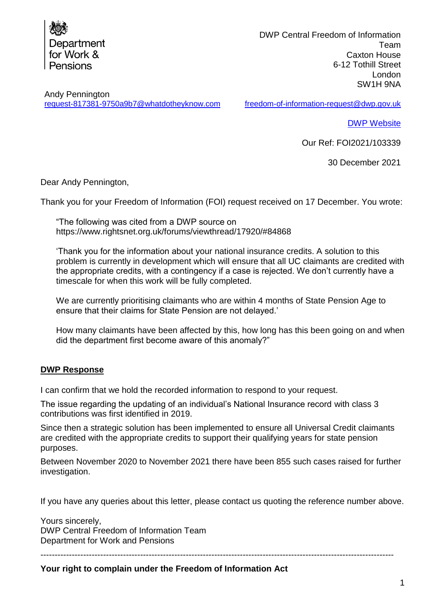

DWP Central Freedom of Information Team Caxton House 6-12 Tothill Street London SW1H 9NA

Andy Pennington [request-817381-9750a9b7@whatdotheyknow.com](mailto:xxxxxxxxxxxxxxxxxxxxxxx@xxxxxxxxxxxxxx.xxx)

[freedom-of-information-request@dwp.gov.uk](mailto:xxxxxxxxxxxxxxxxxxxxxxxxxxxxxx@xxx.xxx.xx)

[DWP Website](http://www.gov.uk/dwp)

Our Ref: FOI2021/103339

30 December 2021

Dear Andy Pennington,

Thank you for your Freedom of Information (FOI) request received on 17 December. You wrote:

"The following was cited from a DWP source on https://www.rightsnet.org.uk/forums/viewthread/17920/#84868

'Thank you for the information about your national insurance credits. A solution to this problem is currently in development which will ensure that all UC claimants are credited with the appropriate credits, with a contingency if a case is rejected. We don't currently have a timescale for when this work will be fully completed.

We are currently prioritising claimants who are within 4 months of State Pension Age to ensure that their claims for State Pension are not delayed.'

How many claimants have been affected by this, how long has this been going on and when did the department first become aware of this anomaly?"

## **DWP Response**

I can confirm that we hold the recorded information to respond to your request.

The issue regarding the updating of an individual's National Insurance record with class 3 contributions was first identified in 2019.

Since then a strategic solution has been implemented to ensure all Universal Credit claimants are credited with the appropriate credits to support their qualifying years for state pension purposes.

Between November 2020 to November 2021 there have been 855 such cases raised for further investigation.

If you have any queries about this letter, please contact us quoting the reference number above.

Yours sincerely, DWP Central Freedom of Information Team Department for Work and Pensions

----------------------------------------------------------------------------------------------------------------------------

**Your right to complain under the Freedom of Information Act**